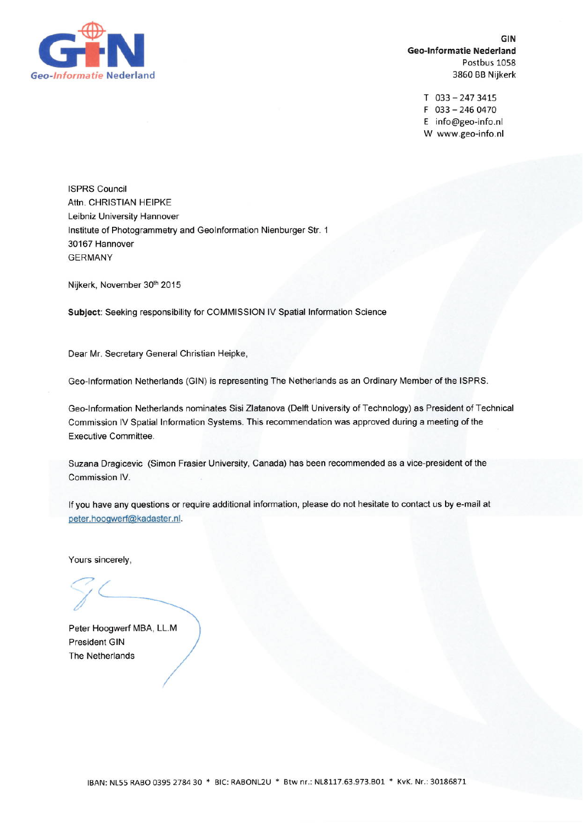

GIN **Geo-Informatie Nederland** Postbus 1058 3860 BB Nijkerk

> $T$  033 - 247 3415  $F$  033 - 246 0470 E info@geo-info.nl W www.geo-info.nl

**ISPRS Council** Attn. CHRISTIAN HEIPKE Leibniz University Hannover Institute of Photogrammetry and GeoInformation Nienburger Str. 1 30167 Hannover **GERMANY** 

Nijkerk, November 30th 2015

Subject: Seeking responsibility for COMMISSION IV Spatial Information Science

Dear Mr. Secretary General Christian Heipke,

Geo-Information Netherlands (GIN) is representing The Netherlands as an Ordinary Member of the ISPRS.

Geo-Information Netherlands nominates Sisi Zlatanova (Delft University of Technology) as President of Technical Commission IV Spatial Information Systems. This recommendation was approved during a meeting of the Executive Committee.

Suzana Dragicevic (Simon Frasier University, Canada) has been recommended as a vice-president of the Commission IV.

If you have any questions or require additional information, please do not hesitate to contact us by e-mail at peter.hoogwerf@kadaster.nl.

Yours sincerely,

Peter Hoogwerf MBA, LL.M **President GIN** The Netherlands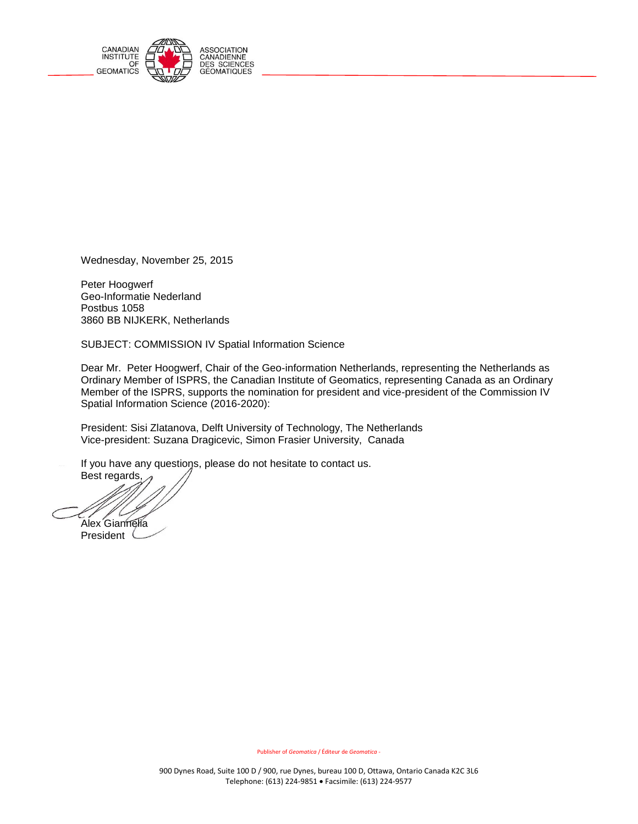

Ī

Wednesday, November 25, 2015

Peter Hoogwerf Geo-Informatie Nederland Postbus 1058 3860 BB NIJKERK, Netherlands

SUBJECT: COMMISSION IV Spatial Information Science

Dear Mr. Peter Hoogwerf, Chair of the Geo-information Netherlands, representing the Netherlands as Ordinary Member of ISPRS, the Canadian Institute of Geomatics, representing Canada as an Ordinary Member of the ISPRS, supports the nomination for president and vice-president of the Commission IV Spatial Information Science (2016-2020):

President: Sisi Zlatanova, Delft University of Technology, The Netherlands Vice-president: Suzana Dragicevic, Simon Frasier University, Canada

If you have any questions, please do not hesitate to contact us.

Best regards, Alex<sup>Giannelia</sup> President<sup>(</sup>

Publisher of *Geomatica* / Éditeur de *Geomatica* -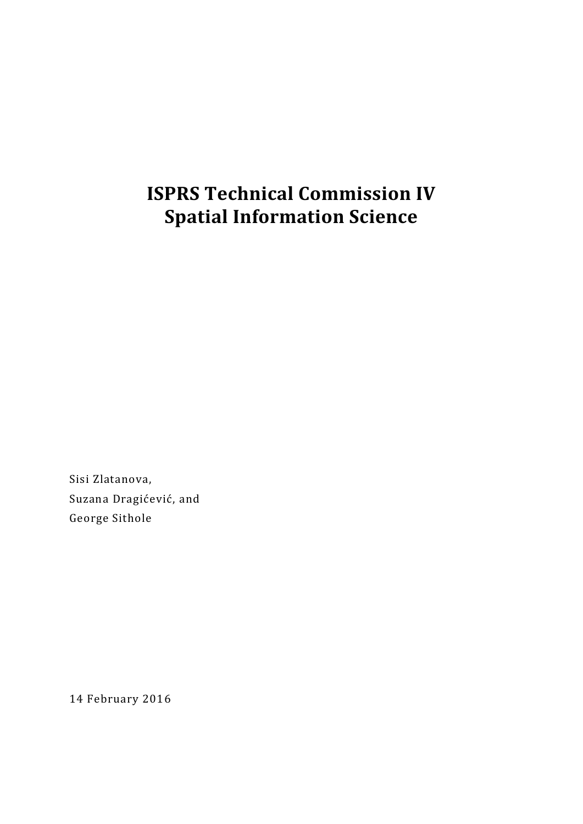# **ISPRS Technical Commission IV Spatial Information Science**

Sisi Zlatanova, Suzana Dragićević, and George Sithole

14 February 2016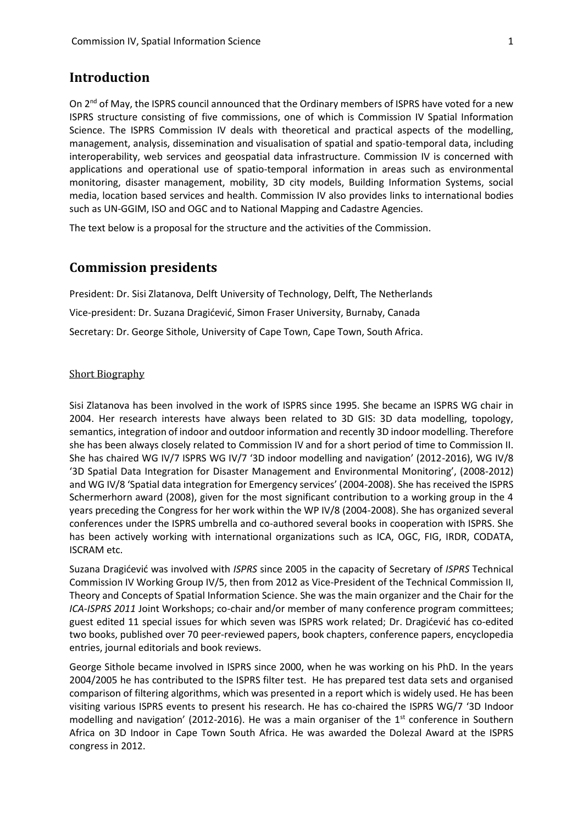### **Introduction**

On 2<sup>nd</sup> of May, the ISPRS council announced that the Ordinary members of ISPRS have voted for a new ISPRS structure consisting of five commissions, one of which is Commission IV Spatial Information Science. The ISPRS Commission IV deals with theoretical and practical aspects of the modelling, management, analysis, dissemination and visualisation of spatial and spatio-temporal data, including interoperability, web services and geospatial data infrastructure. Commission IV is concerned with applications and operational use of spatio-temporal information in areas such as environmental monitoring, disaster management, mobility, 3D city models, Building Information Systems, social media, location based services and health. Commission IV also provides links to international bodies such as UN-GGIM, ISO and OGC and to National Mapping and Cadastre Agencies.

The text below is a proposal for the structure and the activities of the Commission.

### **Commission presidents**

President: Dr. Sisi Zlatanova, Delft University of Technology, Delft, The Netherlands Vice-president: Dr. Suzana Dragićević, Simon Fraser University, Burnaby, Canada Secretary: Dr. George Sithole, University of Cape Town, Cape Town, South Africa.

### Short Biography

Sisi Zlatanova has been involved in the work of ISPRS since 1995. She became an ISPRS WG chair in 2004. Her research interests have always been related to 3D GIS: 3D data modelling, topology, semantics, integration of indoor and outdoor information and recently 3D indoor modelling. Therefore she has been always closely related to Commission IV and for a short period of time to Commission II. She has chaired WG IV/7 ISPRS WG IV/7 '3D indoor modelling and navigation' (2012-2016), WG IV/8 '3D Spatial Data Integration for Disaster Management and Environmental Monitoring', (2008-2012) and WG IV/8 'Spatial data integration for Emergency services' (2004-2008). She has received the ISPRS Schermerhorn award (2008), given for the most significant contribution to a working group in the 4 years preceding the Congress for her work within the WP IV/8 (2004-2008). She has organized several conferences under the ISPRS umbrella and co-authored several books in cooperation with ISPRS. She has been actively working with international organizations such as ICA, OGC, FIG, IRDR, CODATA, ISCRAM etc.

Suzana Dragićević was involved with *ISPRS* since 2005 in the capacity of Secretary of *ISPRS* Technical Commission IV Working Group IV/5, then from 2012 as Vice-President of the Technical Commission II, Theory and Concepts of Spatial Information Science. She was the main organizer and the Chair for the *ICA-ISPRS 2011* Joint Workshops; co-chair and/or member of many conference program committees; guest edited 11 special issues for which seven was ISPRS work related; Dr. Dragićević has co-edited two books, published over 70 peer-reviewed papers, book chapters, conference papers, encyclopedia entries, journal editorials and book reviews.

George Sithole became involved in ISPRS since 2000, when he was working on his PhD. In the years 2004/2005 he has contributed to the ISPRS filter test. He has prepared test data sets and organised comparison of filtering algorithms, which was presented in a report which is widely used. He has been visiting various ISPRS events to present his research. He has co-chaired the ISPRS WG/7 '3D Indoor modelling and navigation' (2012-2016). He was a main organiser of the  $1<sup>st</sup>$  conference in Southern Africa on 3D Indoor in Cape Town South Africa. He was awarded the Dolezal Award at the ISPRS congress in 2012.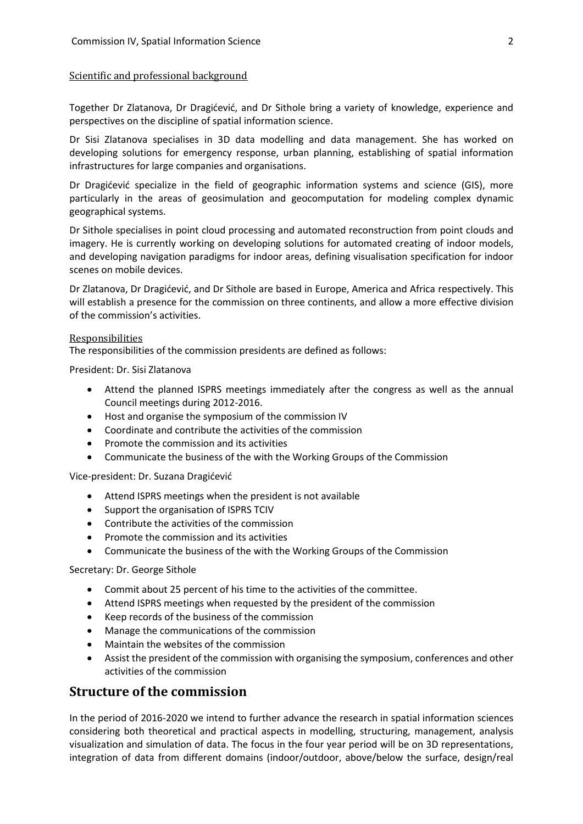### Scientific and professional background

Together Dr Zlatanova, Dr Dragićević, and Dr Sithole bring a variety of knowledge, experience and perspectives on the discipline of spatial information science.

Dr Sisi Zlatanova specialises in 3D data modelling and data management. She has worked on developing solutions for emergency response, urban planning, establishing of spatial information infrastructures for large companies and organisations.

Dr Dragićević specialize in the field of geographic information systems and science (GIS), more particularly in the areas of geosimulation and geocomputation for modeling complex dynamic geographical systems.

Dr Sithole specialises in point cloud processing and automated reconstruction from point clouds and imagery. He is currently working on developing solutions for automated creating of indoor models, and developing navigation paradigms for indoor areas, defining visualisation specification for indoor scenes on mobile devices.

Dr Zlatanova, Dr Dragićević, and Dr Sithole are based in Europe, America and Africa respectively. This will establish a presence for the commission on three continents, and allow a more effective division of the commission's activities.

#### Responsibilities

The responsibilities of the commission presidents are defined as follows:

President: Dr. Sisi Zlatanova

- Attend the planned ISPRS meetings immediately after the congress as well as the annual Council meetings during 2012-2016.
- Host and organise the symposium of the commission IV
- Coordinate and contribute the activities of the commission
- Promote the commission and its activities
- Communicate the business of the with the Working Groups of the Commission

Vice-president: Dr. Suzana Dragićević

- Attend ISPRS meetings when the president is not available
- Support the organisation of ISPRS TCIV
- Contribute the activities of the commission
- Promote the commission and its activities
- Communicate the business of the with the Working Groups of the Commission

#### Secretary: Dr. George Sithole

- Commit about 25 percent of his time to the activities of the committee.
- Attend ISPRS meetings when requested by the president of the commission
- Keep records of the business of the commission
- Manage the communications of the commission
- Maintain the websites of the commission
- Assist the president of the commission with organising the symposium, conferences and other activities of the commission

### **Structure of the commission**

In the period of 2016-2020 we intend to further advance the research in spatial information sciences considering both theoretical and practical aspects in modelling, structuring, management, analysis visualization and simulation of data. The focus in the four year period will be on 3D representations, integration of data from different domains (indoor/outdoor, above/below the surface, design/real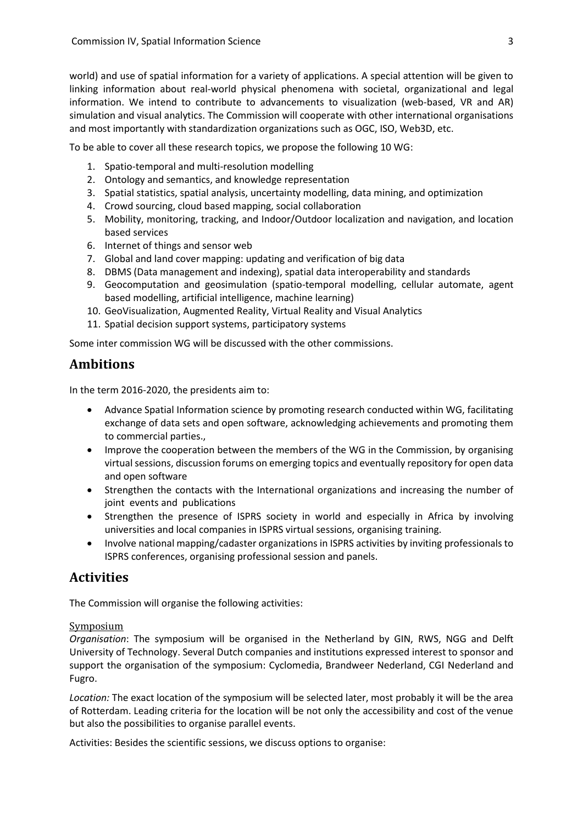world) and use of spatial information for a variety of applications. A special attention will be given to linking information about real-world physical phenomena with societal, organizational and legal information. We intend to contribute to advancements to visualization (web-based, VR and AR) simulation and visual analytics. The Commission will cooperate with other international organisations and most importantly with standardization organizations such as OGC, ISO, Web3D, etc.

To be able to cover all these research topics, we propose the following 10 WG:

- 1. Spatio-temporal and multi-resolution modelling
- 2. Ontology and semantics, and knowledge representation
- 3. Spatial statistics, spatial analysis, uncertainty modelling, data mining, and optimization
- 4. Crowd sourcing, cloud based mapping, social collaboration
- 5. Mobility, monitoring, tracking, and Indoor/Outdoor localization and navigation, and location based services
- 6. Internet of things and sensor web
- 7. Global and land cover mapping: updating and verification of big data
- 8. DBMS (Data management and indexing), spatial data interoperability and standards
- 9. Geocomputation and geosimulation (spatio-temporal modelling, cellular automate, agent based modelling, artificial intelligence, machine learning)
- 10. GeoVisualization, Augmented Reality, Virtual Reality and Visual Analytics
- 11. Spatial decision support systems, participatory systems

Some inter commission WG will be discussed with the other commissions.

# **Ambitions**

In the term 2016-2020, the presidents aim to:

- Advance Spatial Information science by promoting research conducted within WG, facilitating exchange of data sets and open software, acknowledging achievements and promoting them to commercial parties.,
- Improve the cooperation between the members of the WG in the Commission, by organising virtual sessions, discussion forums on emerging topics and eventually repository for open data and open software
- Strengthen the contacts with the International organizations and increasing the number of joint events and publications
- Strengthen the presence of ISPRS society in world and especially in Africa by involving universities and local companies in ISPRS virtual sessions, organising training.
- Involve national mapping/cadaster organizations in ISPRS activities by inviting professionals to ISPRS conferences, organising professional session and panels.

# **Activities**

The Commission will organise the following activities:

### Symposium

*Organisation*: The symposium will be organised in the Netherland by GIN, RWS, NGG and Delft University of Technology. Several Dutch companies and institutions expressed interest to sponsor and support the organisation of the symposium: Cyclomedia, Brandweer Nederland, CGI Nederland and Fugro.

*Location:* The exact location of the symposium will be selected later, most probably it will be the area of Rotterdam. Leading criteria for the location will be not only the accessibility and cost of the venue but also the possibilities to organise parallel events.

Activities: Besides the scientific sessions, we discuss options to organise: